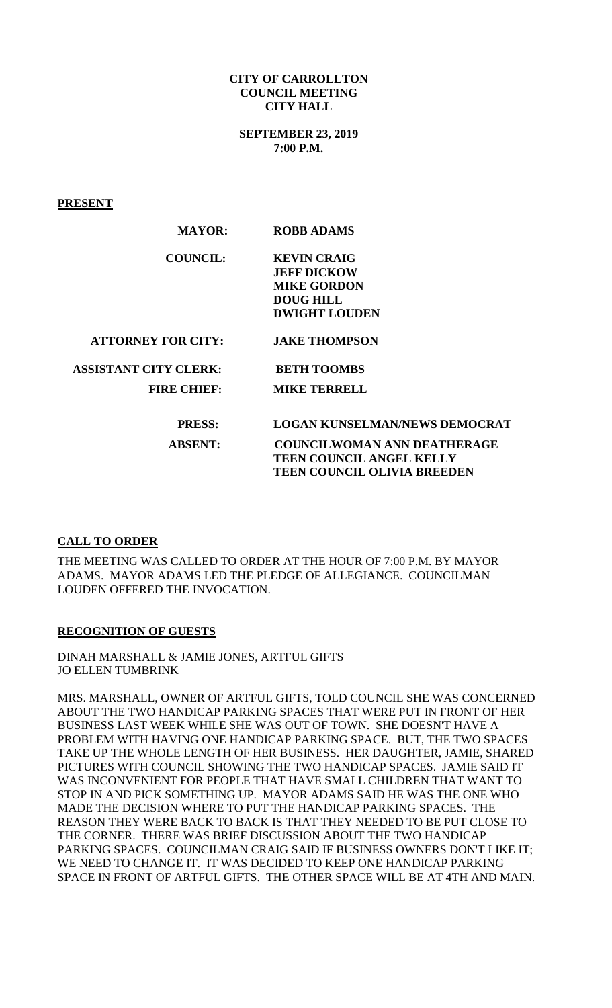## **CITY OF CARROLLTON COUNCIL MEETING CITY HALL**

**SEPTEMBER 23, 2019 7:00 P.M.**

**PRESENT**

| <b>MAYOR:</b>                | <b>ROBB ADAMS</b>                  |
|------------------------------|------------------------------------|
| <b>COUNCIL:</b>              | <b>KEVIN CRAIG</b>                 |
|                              | <b>JEFF DICKOW</b>                 |
|                              | <b>MIKE GORDON</b>                 |
|                              | <b>DOUG HILL</b>                   |
|                              | <b>DWIGHT LOUDEN</b>               |
| <b>ATTORNEY FOR CITY:</b>    | <b>JAKE THOMPSON</b>               |
| <b>ASSISTANT CITY CLERK:</b> | <b>BETH TOOMBS</b>                 |
| <b>FIRE CHIEF:</b>           | <b>MIKE TERRELL</b>                |
| <b>PRESS:</b>                | LOGAN KUNSELMAN/NEWS DEMOCRAT      |
|                              |                                    |
| <b>ABSENT:</b>               | <b>COUNCILWOMAN ANN DEATHERAGE</b> |
|                              | <b>TEEN COUNCIL ANGEL KELLY</b>    |
|                              | <b>TEEN COUNCIL OLIVIA BREEDEN</b> |
|                              |                                    |

# **CALL TO ORDER**

THE MEETING WAS CALLED TO ORDER AT THE HOUR OF 7:00 P.M. BY MAYOR ADAMS. MAYOR ADAMS LED THE PLEDGE OF ALLEGIANCE. COUNCILMAN LOUDEN OFFERED THE INVOCATION.

### **RECOGNITION OF GUESTS**

DINAH MARSHALL & JAMIE JONES, ARTFUL GIFTS JO ELLEN TUMBRINK

MRS. MARSHALL, OWNER OF ARTFUL GIFTS, TOLD COUNCIL SHE WAS CONCERNED ABOUT THE TWO HANDICAP PARKING SPACES THAT WERE PUT IN FRONT OF HER BUSINESS LAST WEEK WHILE SHE WAS OUT OF TOWN. SHE DOESN'T HAVE A PROBLEM WITH HAVING ONE HANDICAP PARKING SPACE. BUT, THE TWO SPACES TAKE UP THE WHOLE LENGTH OF HER BUSINESS. HER DAUGHTER, JAMIE, SHARED PICTURES WITH COUNCIL SHOWING THE TWO HANDICAP SPACES. JAMIE SAID IT WAS INCONVENIENT FOR PEOPLE THAT HAVE SMALL CHILDREN THAT WANT TO STOP IN AND PICK SOMETHING UP. MAYOR ADAMS SAID HE WAS THE ONE WHO MADE THE DECISION WHERE TO PUT THE HANDICAP PARKING SPACES. THE REASON THEY WERE BACK TO BACK IS THAT THEY NEEDED TO BE PUT CLOSE TO THE CORNER. THERE WAS BRIEF DISCUSSION ABOUT THE TWO HANDICAP PARKING SPACES. COUNCILMAN CRAIG SAID IF BUSINESS OWNERS DON'T LIKE IT; WE NEED TO CHANGE IT. IT WAS DECIDED TO KEEP ONE HANDICAP PARKING SPACE IN FRONT OF ARTFUL GIFTS. THE OTHER SPACE WILL BE AT 4TH AND MAIN.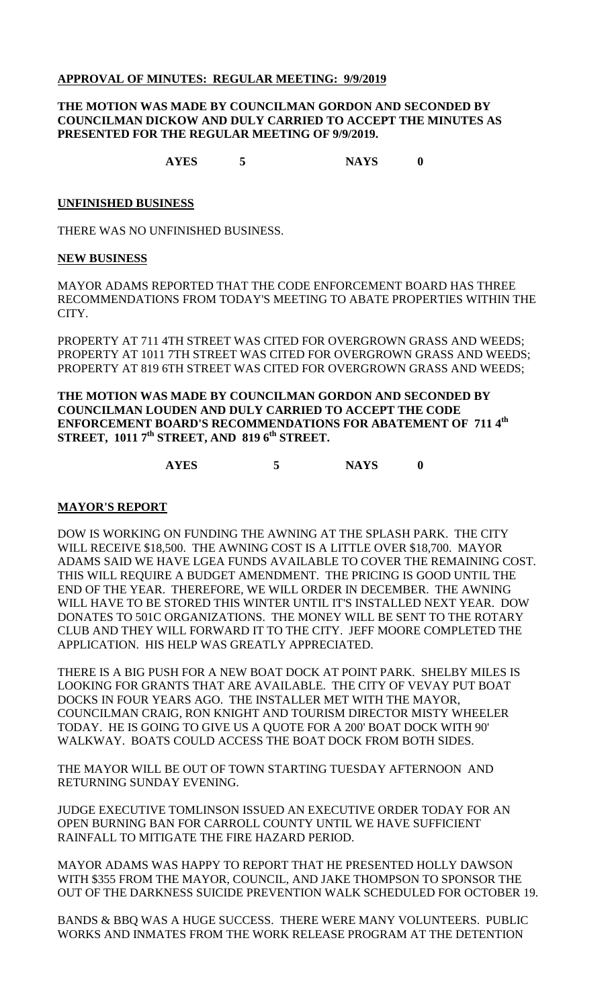## **APPROVAL OF MINUTES: REGULAR MEETING: 9/9/2019**

### **THE MOTION WAS MADE BY COUNCILMAN GORDON AND SECONDED BY COUNCILMAN DICKOW AND DULY CARRIED TO ACCEPT THE MINUTES AS PRESENTED FOR THE REGULAR MEETING OF 9/9/2019.**

**AYES 5 NAYS 0**

### **UNFINISHED BUSINESS**

THERE WAS NO UNFINISHED BUSINESS.

#### **NEW BUSINESS**

MAYOR ADAMS REPORTED THAT THE CODE ENFORCEMENT BOARD HAS THREE RECOMMENDATIONS FROM TODAY'S MEETING TO ABATE PROPERTIES WITHIN THE CITY.

PROPERTY AT 711 4TH STREET WAS CITED FOR OVERGROWN GRASS AND WEEDS; PROPERTY AT 1011 7TH STREET WAS CITED FOR OVERGROWN GRASS AND WEEDS; PROPERTY AT 819 6TH STREET WAS CITED FOR OVERGROWN GRASS AND WEEDS;

**THE MOTION WAS MADE BY COUNCILMAN GORDON AND SECONDED BY COUNCILMAN LOUDEN AND DULY CARRIED TO ACCEPT THE CODE ENFORCEMENT BOARD'S RECOMMENDATIONS FOR ABATEMENT OF 711 4th STREET, 1011 7th STREET, AND 819 6th STREET.**

# **AYES 5 NAYS 0**

#### **MAYOR'S REPORT**

DOW IS WORKING ON FUNDING THE AWNING AT THE SPLASH PARK. THE CITY WILL RECEIVE \$18,500. THE AWNING COST IS A LITTLE OVER \$18,700. MAYOR ADAMS SAID WE HAVE LGEA FUNDS AVAILABLE TO COVER THE REMAINING COST. THIS WILL REQUIRE A BUDGET AMENDMENT. THE PRICING IS GOOD UNTIL THE END OF THE YEAR. THEREFORE, WE WILL ORDER IN DECEMBER. THE AWNING WILL HAVE TO BE STORED THIS WINTER UNTIL IT'S INSTALLED NEXT YEAR. DOW DONATES TO 501C ORGANIZATIONS. THE MONEY WILL BE SENT TO THE ROTARY CLUB AND THEY WILL FORWARD IT TO THE CITY. JEFF MOORE COMPLETED THE APPLICATION. HIS HELP WAS GREATLY APPRECIATED.

THERE IS A BIG PUSH FOR A NEW BOAT DOCK AT POINT PARK. SHELBY MILES IS LOOKING FOR GRANTS THAT ARE AVAILABLE. THE CITY OF VEVAY PUT BOAT DOCKS IN FOUR YEARS AGO. THE INSTALLER MET WITH THE MAYOR, COUNCILMAN CRAIG, RON KNIGHT AND TOURISM DIRECTOR MISTY WHEELER TODAY. HE IS GOING TO GIVE US A QUOTE FOR A 200' BOAT DOCK WITH 90' WALKWAY. BOATS COULD ACCESS THE BOAT DOCK FROM BOTH SIDES.

THE MAYOR WILL BE OUT OF TOWN STARTING TUESDAY AFTERNOON AND RETURNING SUNDAY EVENING.

JUDGE EXECUTIVE TOMLINSON ISSUED AN EXECUTIVE ORDER TODAY FOR AN OPEN BURNING BAN FOR CARROLL COUNTY UNTIL WE HAVE SUFFICIENT RAINFALL TO MITIGATE THE FIRE HAZARD PERIOD.

MAYOR ADAMS WAS HAPPY TO REPORT THAT HE PRESENTED HOLLY DAWSON WITH \$355 FROM THE MAYOR, COUNCIL, AND JAKE THOMPSON TO SPONSOR THE OUT OF THE DARKNESS SUICIDE PREVENTION WALK SCHEDULED FOR OCTOBER 19.

BANDS & BBQ WAS A HUGE SUCCESS. THERE WERE MANY VOLUNTEERS. PUBLIC WORKS AND INMATES FROM THE WORK RELEASE PROGRAM AT THE DETENTION